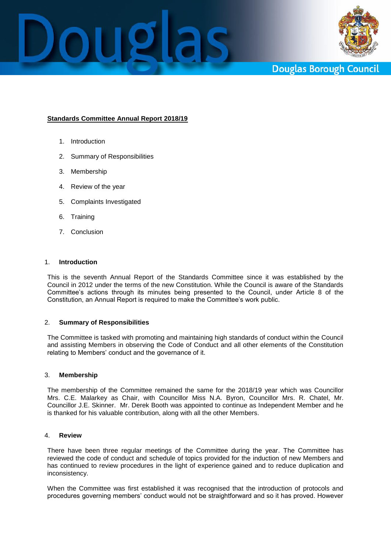



**Douglas Borough Council** 

# **Standards Committee Annual Report 2018/19**

- 1. Introduction
- 2. Summary of Responsibilities
- 3. Membership
- 4. Review of the year
- 5. Complaints Investigated
- 6. Training
- 7. Conclusion

## 1. **Introduction**

This is the seventh Annual Report of the Standards Committee since it was established by the Council in 2012 under the terms of the new Constitution. While the Council is aware of the Standards Committee's actions through its minutes being presented to the Council, under Article 8 of the Constitution, an Annual Report is required to make the Committee's work public.

#### 2. **Summary of Responsibilities**

The Committee is tasked with promoting and maintaining high standards of conduct within the Council and assisting Members in observing the Code of Conduct and all other elements of the Constitution relating to Members' conduct and the governance of it.

#### 3. **Membership**

The membership of the Committee remained the same for the 2018/19 year which was Councillor Mrs. C.E. Malarkey as Chair, with Councillor Miss N.A. Byron, Councillor Mrs. R. Chatel, Mr. Councillor J.E. Skinner. Mr. Derek Booth was appointed to continue as Independent Member and he is thanked for his valuable contribution, along with all the other Members.

#### 4. **Review**

There have been three regular meetings of the Committee during the year. The Committee has reviewed the code of conduct and schedule of topics provided for the induction of new Members and has continued to review procedures in the light of experience gained and to reduce duplication and inconsistency.

When the Committee was first established it was recognised that the introduction of protocols and procedures governing members' conduct would not be straightforward and so it has proved. However